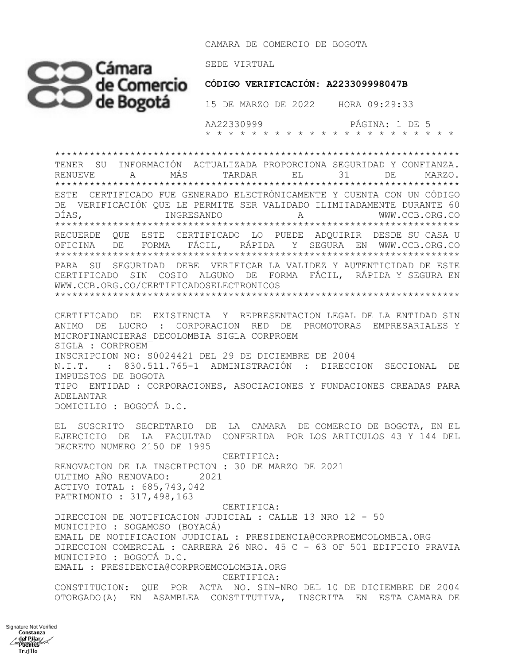CAMARA DE COMERCIO DE BOGOTA



Signature Not Verifieddel Pilar<br>del Pilar Henry Keep Trujillo

 **CÓDIGO VERIFICACIÓN: A223309998047B**

 AA22330999 PÁGINA: 1 DE 5 \* \* \* \* \* \* \* \* \* \* \* \* \* \* \* \* \* \* \* \* \* \*

\*\*\*\*\*\*\*\*\*\*\*\*\*\*\*\*\*\*\*\*\*\*\*\*\*\*\*\*\*\*\*\*\*\*\*\*\*\*\*\*\*\*\*\*\*\*\*\*\*\*\*\*\*\*\*\*\*\*\*\*\*\*\*\*\*\*\*\*\*\* TENER SU INFORMACIÓN ACTUALIZADA PROPORCIONA SEGURIDAD Y CONFIANZA. RENUEVE A MÁS TARDAR EL 31 DE MARZO. \*\*\*\*\*\*\*\*\*\*\*\*\*\*\*\*\*\*\*\*\*\*\*\*\*\*\*\*\*\*\*\*\*\*\*\*\*\*\*\*\*\*\*\*\*\*\*\*\*\*\*\*\*\*\*\*\*\*\*\*\*\*\*\*\*\*\*\*\*\* ESTE CERTIFICADO FUE GENERADO ELECTRÓNICAMENTE Y CUENTA CON UN CÓDIGO DE VERIFICACIÓN QUE LE PERMITE SER VALIDADO ILIMITADAMENTE DURANTE 60 DÍAS, INGRESANDO A WWW.CCB.ORG.CO \*\*\*\*\*\*\*\*\*\*\*\*\*\*\*\*\*\*\*\*\*\*\*\*\*\*\*\*\*\*\*\*\*\*\*\*\*\*\*\*\*\*\*\*\*\*\*\*\*\*\*\*\*\*\*\*\*\*\*\*\*\*\*\*\*\*\*\*\*\* RECUERDE QUE ESTE CERTIFICADO LO PUEDE ADQUIRIR DESDE SU CASA U OFICINA DE FORMA FÁCIL, RÁPIDA Y SEGURA EN WWW.CCB.ORG.CO \*\*\*\*\*\*\*\*\*\*\*\*\*\*\*\*\*\*\*\*\*\*\*\*\*\*\*\*\*\*\*\*\*\*\*\*\*\*\*\*\*\*\*\*\*\*\*\*\*\*\*\*\*\*\*\*\*\*\*\*\*\*\*\*\*\*\*\*\*\* PARA SU SEGURIDAD DEBE VERIFICAR LA VALIDEZ Y AUTENTICIDAD DE ESTE CERTIFICADO SIN COSTO ALGUNO DE FORMA FÁCIL, RÁPIDA Y SEGURA EN WWW.CCB.ORG.CO/CERTIFICADOSELECTRONICOS \*\*\*\*\*\*\*\*\*\*\*\*\*\*\*\*\*\*\*\*\*\*\*\*\*\*\*\*\*\*\*\*\*\*\*\*\*\*\*\*\*\*\*\*\*\*\*\*\*\*\*\*\*\*\*\*\*\*\*\*\*\*\*\*\*\*\*\*\*\*

CERTIFICADO DE EXISTENCIA Y REPRESENTACION LEGAL DE LA ENTIDAD SIN ANIMO DE LUCRO : CORPORACION RED DE PROMOTORAS EMPRESARIALES Y MICROFINANCIERAS\_DECOLOMBIA SIGLA CORPROEM SIGLA : CORPROEM INSCRIPCION NO: S0024421 DEL 29 DE DICIEMBRE DE 2004 N.I.T. : 830.511.765-1 ADMINISTRACIÓN : DIRECCION SECCIONAL DE IMPUESTOS DE BOGOTA TIPO ENTIDAD : CORPORACIONES, ASOCIACIONES Y FUNDACIONES CREADAS PARA ADELANTAR DOMICILIO : BOGOTÁ D.C.

EL SUSCRITO SECRETARIO DE LA CAMARA DE COMERCIO DE BOGOTA, EN EL EJERCICIO DE LA FACULTAD CONFERIDA POR LOS ARTICULOS 43 Y 144 DEL DECRETO NUMERO 2150 DE 1995

 CERTIFICA: RENOVACION DE LA INSCRIPCION : 30 DE MARZO DE 2021 ULTIMO AÑO RENOVADO: 2021 ACTIVO TOTAL : 685,743,042 PATRIMONIO : 317,498,163

 CERTIFICA: DIRECCION DE NOTIFICACION JUDICIAL : CALLE 13 NRO 12 - 50 MUNICIPIO : SOGAMOSO (BOYACÁ) EMAIL DE NOTIFICACION JUDICIAL : PRESIDENCIA@CORPROEMCOLOMBIA.ORG DIRECCION COMERCIAL : CARRERA 26 NRO. 45 C - 63 OF 501 EDIFICIO PRAVIA MUNICIPIO : BOGOTÁ D.C. EMAIL : PRESIDENCIA@CORPROEMCOLOMBIA.ORG CERTIFICA:

CONSTITUCION: QUE POR ACTA NO. SIN-NRO DEL 10 DE DICIEMBRE DE 2004 OTORGADO(A) EN ASAMBLEA CONSTITUTIVA, INSCRITA EN ESTA CAMARA DE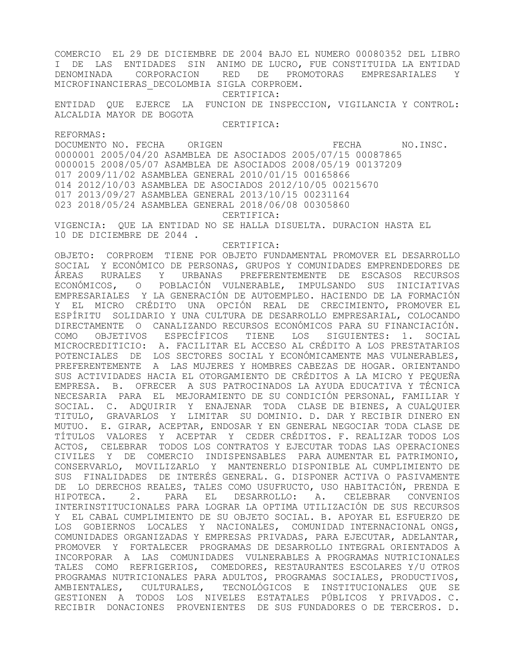COMERCIO EL 29 DE DICIEMBRE DE 2004 BAJO EL NUMERO 00080352 DEL LIBRO I DE LAS ENTIDADES SIN ANIMO DE LUCRO, FUE CONSTITUIDA LA ENTIDAD DENOMINADA CORPORACION RED DE PROMOTORAS EMPRESARIALES Y MICROFINANCIERAS\_DECOLOMBIA SIGLA CORPROEM.

CERTIFICA:

ENTIDAD QUE EJERCE LA FUNCION DE INSPECCION, VIGILANCIA Y CONTROL: ALCALDIA MAYOR DE BOGOTA

CERTIFICA:

REFORMAS:

DOCUMENTO NO. FECHA ORIGEN **EXAMPLE ORIGEN** FECHA NO.INSC. 0000001 2005/04/20 ASAMBLEA DE ASOCIADOS 2005/07/15 00087865 0000015 2008/05/07 ASAMBLEA DE ASOCIADOS 2008/05/19 00137209 017 2009/11/02 ASAMBLEA GENERAL 2010/01/15 00165866 014 2012/10/03 ASAMBLEA DE ASOCIADOS 2012/10/05 00215670 017 2013/09/27 ASAMBLEA GENERAL 2013/10/15 00231164 023 2018/05/24 ASAMBLEA GENERAL 2018/06/08 00305860 CERTIFICA:

VIGENCIA: QUE LA ENTIDAD NO SE HALLA DISUELTA. DURACION HASTA EL 10 DE DICIEMBRE DE 2044 .

CERTIFICA:

OBJETO: CORPROEM TIENE POR OBJETO FUNDAMENTAL PROMOVER EL DESARROLLO SOCIAL Y ECONÓMICO DE PERSONAS, GRUPOS Y COMUNIDADES EMPRENDEDORES DE ÁREAS RURALES Y URBANAS PREFERENTEMENTE DE ESCASOS RECURSOS ECONÓMICOS, O POBLACIÓN VULNERABLE, IMPULSANDO SUS INICIATIVAS EMPRESARIALES Y LA GENERACIÓN DE AUTOEMPLEO. HACIENDO DE LA FORMACIÓN Y EL MICRO CRÉDITO UNA OPCIÓN REAL DE CRECIMIENTO, PROMOVER EL ESPÍRITU SOLIDARIO Y UNA CULTURA DE DESARROLLO EMPRESARIAL, COLOCANDO DIRECTAMENTE O CANALIZANDO RECURSOS ECONÓMICOS PARA SU FINANCIACIÓN. COMO OBJETIVOS ESPECÍFICOS TIENE LOS SIGUIENTES: 1. SOCIAL MICROCREDITICIO: A. FACILITAR EL ACCESO AL CRÉDITO A LOS PRESTATARIOS POTENCIALES DE LOS SECTORES SOCIAL Y ECONÓMICAMENTE MAS VULNERABLES, PREFERENTEMENTE A LAS MUJERES Y HOMBRES CABEZAS DE HOGAR. ORIENTANDO SUS ACTIVIDADES HACIA EL OTORGAMIENTO DE CRÉDITOS A LA MICRO Y PEQUEÑA EMPRESA. B. OFRECER A SUS PATROCINADOS LA AYUDA EDUCATIVA Y TÉCNICA NECESARIA PARA EL MEJORAMIENTO DE SU CONDICIÓN PERSONAL, FAMILIAR Y SOCIAL. C. ADQUIRIR Y ENAJENAR TODA CLASE DE BIENES, A CUALQUIER TITULO, GRAVARLOS Y LIMITAR SU DOMINIO. D. DAR Y RECIBIR DINERO EN MUTUO. E. GIRAR, ACEPTAR, ENDOSAR Y EN GENERAL NEGOCIAR TODA CLASE DE TÍTULOS VALORES Y ACEPTAR Y CEDER CRÉDITOS. F. REALIZAR TODOS LOS ACTOS, CELEBRAR TODOS LOS CONTRATOS Y EJECUTAR TODAS LAS OPERACIONES CIVILES Y DE COMERCIO INDISPENSABLES PARA AUMENTAR EL PATRIMONIO, CONSERVARLO, MOVILIZARLO Y MANTENERLO DISPONIBLE AL CUMPLIMIENTO DE SUS FINALIDADES DE INTERÉS GENERAL. G. DISPONER ACTIVA O PASIVAMENTE DE LO DERECHOS REALES, TALES COMO USUFRUCTO, USO HABITACIÓN, PRENDA E HIPOTECA. 2. PARA EL DESARROLLO: A. CELEBRAR CONVENIOS INTERINSTITUCIONALES PARA LOGRAR LA OPTIMA UTILIZACIÓN DE SUS RECURSOS Y EL CABAL CUMPLIMIENTO DE SU OBJETO SOCIAL. B. APOYAR EL ESFUERZO DE LOS GOBIERNOS LOCALES Y NACIONALES, COMUNIDAD INTERNACIONAL ONGS, COMUNIDADES ORGANIZADAS Y EMPRESAS PRIVADAS, PARA EJECUTAR, ADELANTAR, PROMOVER Y FORTALECER PROGRAMAS DE DESARROLLO INTEGRAL ORIENTADOS A INCORPORAR A LAS COMUNIDADES VULNERABLES A PROGRAMAS NUTRICIONALES TALES COMO REFRIGERIOS, COMEDORES, RESTAURANTES ESCOLARES Y/U OTROS PROGRAMAS NUTRICIONALES PARA ADULTOS, PROGRAMAS SOCIALES, PRODUCTIVOS, AMBIENTALES, CULTURALES, TECNOLÓGICOS E INSTITUCIONALES QUE SE GESTIONEN A TODOS LOS NIVELES ESTATALES PÚBLICOS Y PRIVADOS. C. RECIBIR DONACIONES PROVENIENTES DE SUS FUNDADORES O DE TERCEROS. D.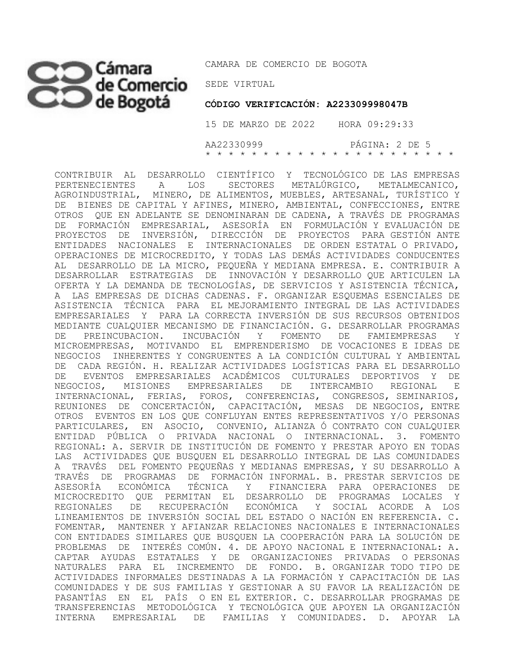## SEDE VIRTUAL

CAMARA DE COMERCIO DE BOGOTA

 **CÓDIGO VERIFICACIÓN: A223309998047B**

 15 DE MARZO DE 2022 HORA 09:29:33 AA22330999 PÁGINA: 2 DE 5 \* \* \* \* \* \* \* \* \* \* \* \* \* \* \* \* \* \* \* \* \* \*

CONTRIBUIR AL DESARROLLO CIENTÍFICO Y TECNOLÓGICO DE LAS EMPRESAS PERTENECIENTES A LOS SECTORES METALÚRGICO, METALMECANICO, AGROINDUSTRIAL, MINERO, DE ALIMENTOS, MUEBLES, ARTESANAL, TURÍSTICO Y DE BIENES DE CAPITAL Y AFINES, MINERO, AMBIENTAL, CONFECCIONES, ENTRE OTROS QUE EN ADELANTE SE DENOMINARAN DE CADENA, A TRAVÉS DE PROGRAMAS DE FORMACIÓN EMPRESARIAL, ASESORÍA EN FORMULACIÓN Y EVALUACIÓN DE PROYECTOS DE INVERSIÓN, DIRECCIÓN DE PROYECTOS PARA GESTIÓN ANTE ENTIDADES NACIONALES E INTERNACIONALES DE ORDEN ESTATAL O PRIVADO, OPERACIONES DE MICROCREDITO, Y TODAS LAS DEMÁS ACTIVIDADES CONDUCENTES AL DESARROLLO DE LA MICRO, PEQUEÑA Y MEDIANA EMPRESA. E. CONTRIBUIR A DESARROLLAR ESTRATEGIAS DE INNOVACIÓN Y DESARROLLO QUE ARTICULEN LA OFERTA Y LA DEMANDA DE TECNOLOGÍAS, DE SERVICIOS Y ASISTENCIA TÉCNICA, A LAS EMPRESAS DE DICHAS CADENAS. F. ORGANIZAR ESQUEMAS ESENCIALES DE ASISTENCIA TÉCNICA PARA EL MEJORAMIENTO INTEGRAL DE LAS ACTIVIDADES EMPRESARIALES Y PARA LA CORRECTA INVERSIÓN DE SUS RECURSOS OBTENIDOS MEDIANTE CUALQUIER MECANISMO DE FINANCIACIÓN. G. DESARROLLAR PROGRAMAS DE PREINCUBACION. INCUBACIÓN Y FOMENTO DE FAMIEMPRESAS Y MICROEMPRESAS, MOTIVANDO EL EMPRENDERISMO DE VOCACIONES E IDEAS DE NEGOCIOS INHERENTES Y CONGRUENTES A LA CONDICIÓN CULTURAL Y AMBIENTAL DE CADA REGIÓN. H. REALIZAR ACTIVIDADES LOGÍSTICAS PARA EL DESARROLLO DE EVENTOS EMPRESARIALES ACADÉMICOS CULTURALES DEPORTIVOS Y DE NEGOCIOS, MISIONES EMPRESARIALES DE INTERCAMBIO REGIONAL E INTERNACIONAL, FERIAS, FOROS, CONFERENCIAS, CONGRESOS, SEMINARIOS, REUNIONES DE CONCERTACIÓN, CAPACITACIÓN, MESAS DE NEGOCIOS, ENTRE OTROS EVENTOS EN LOS QUE CONFLUYAN ENTES REPRESENTATIVOS Y/O PERSONAS PARTICULARES, EN ASOCIO, CONVENIO, ALIANZA Ó CONTRATO CON CUALQUIER ENTIDAD PÚBLICA O PRIVADA NACIONAL O INTERNACIONAL. 3. FOMENTO REGIONAL: A. SERVIR DE INSTITUCIÓN DE FOMENTO Y PRESTAR APOYO EN TODAS LAS ACTIVIDADES QUE BUSQUEN EL DESARROLLO INTEGRAL DE LAS COMUNIDADES A TRAVÉS DEL FOMENTO PEQUEÑAS Y MEDIANAS EMPRESAS, Y SU DESARROLLO A TRAVÉS DE PROGRAMAS DE FORMACIÓN INFORMAL. B. PRESTAR SERVICIOS DE ASESORÍA ECONÓMICA TÉCNICA Y FINANCIERA PARA OPERACIONES DE MICROCREDITO QUE PERMITAN EL DESARROLLO DE PROGRAMAS LOCALES Y REGIONALES DE RECUPERACIÓN ECONÓMICA Y SOCIAL ACORDE A LOS LINEAMIENTOS DE INVERSIÓN SOCIAL DEL ESTADO O NACIÓN EN REFERENCIA. C. FOMENTAR, MANTENER Y AFIANZAR RELACIONES NACIONALES E INTERNACIONALES CON ENTIDADES SIMILARES QUE BUSQUEN LA COOPERACIÓN PARA LA SOLUCIÓN DE PROBLEMAS DE INTERÉS COMÚN. 4. DE APOYO NACIONAL E INTERNACIONAL: A. CAPTAR AYUDAS ESTATALES Y DE ORGANIZACIONES PRIVADAS O PERSONAS NATURALES PARA EL INCREMENTO DE FONDO. B. ORGANIZAR TODO TIPO DE ACTIVIDADES INFORMALES DESTINADAS A LA FORMACIÓN Y CAPACITACIÓN DE LAS COMUNIDADES Y DE SUS FAMILIAS Y GESTIONAR A SU FAVOR LA REALIZACIÓN DE PASANTÍAS EN EL PAÍS O EN EL EXTERIOR. C. DESARROLLAR PROGRAMAS DE TRANSFERENCIAS METODOLÓGICA Y TECNOLÓGICA QUE APOYEN LA ORGANIZACIÓN INTERNA EMPRESARIAL DE FAMILIAS Y COMUNIDADES. D. APOYAR LA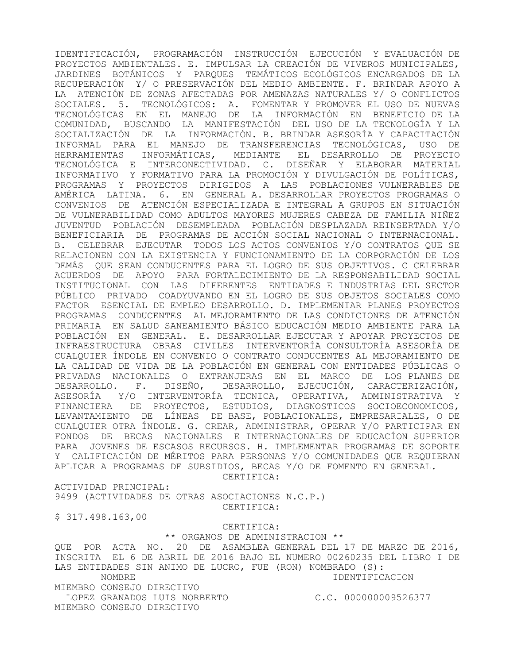IDENTIFICACIÓN, PROGRAMACIÓN INSTRUCCIÓN EJECUCIÓN Y EVALUACIÓN DE PROYECTOS AMBIENTALES. E. IMPULSAR LA CREACIÓN DE VIVEROS MUNICIPALES, JARDINES BOTÁNICOS Y PARQUES TEMÁTICOS ECOLÓGICOS ENCARGADOS DE LA RECUPERACIÓN Y/ O PRESERVACIÓN DEL MEDIO AMBIENTE. F. BRINDAR APOYO A LA ATENCIÓN DE ZONAS AFECTADAS POR AMENAZAS NATURALES Y/ O CONFLICTOS SOCIALES. 5. TECNOLÓGICOS: A. FOMENTAR Y PROMOVER EL USO DE NUEVAS TECNOLÓGICAS EN EL MANEJO DE LA INFORMACIÓN EN BENEFICIO DE LA COMUNIDAD, BUSCANDO LA MANIFESTACIÓN DEL USO DE LA TECNOLOGÍA Y LA SOCIALIZACIÓN DE LA INFORMACIÓN. B. BRINDAR ASESORÍA Y CAPACITACIÓN INFORMAL PARA EL MANEJO DE TRANSFERENCIAS TECNOLÓGICAS, USO DE HERRAMIENTAS INFORMÁTICAS, MEDIANTE EL DESARROLLO DE PROYECTO TECNOLÓGICA E INTERCONECTIVIDAD. C. DISEÑAR Y ELABORAR MATERIAL INFORMATIVO Y FORMATIVO PARA LA PROMOCIÓN Y DIVULGACIÓN DE POLÍTICAS, PROGRAMAS Y PROYECTOS DIRIGIDOS A LAS POBLACIONES VULNERABLES DE AMÉRICA LATINA. 6. EN GENERAL A. DESARROLLAR PROYECTOS PROGRAMAS O CONVENIOS DE ATENCIÓN ESPECIALIZADA E INTEGRAL A GRUPOS EN SITUACIÓN DE VULNERABILIDAD COMO ADULTOS MAYORES MUJERES CABEZA DE FAMILIA NIÑEZ JUVENTUD POBLACIÓN DESEMPLEADA POBLACIÓN DESPLAZADA REINSERTADA Y/O BENEFICIARIA DE PROGRAMAS DE ACCIÓN SOCIAL NACIONAL O INTERNACIONAL. B. CELEBRAR EJECUTAR TODOS LOS ACTOS CONVENIOS Y/O CONTRATOS QUE SE RELACIONEN CON LA EXISTENCIA Y FUNCIONAMIENTO DE LA CORPORACIÓN DE LOS DEMÁS QUE SEAN CONDUCENTES PARA EL LOGRO DE SUS OBJETIVOS. C CELEBRAR ACUERDOS DE APOYO PARA FORTALECIMIENTO DE LA RESPONSABILIDAD SOCIAL INSTITUCIONAL CON LAS DIFERENTES ENTIDADES E INDUSTRIAS DEL SECTOR PÚBLICO PRIVADO COADYUVANDO EN EL LOGRO DE SUS OBJETOS SOCIALES COMO FACTOR ESENCIAL DE EMPLEO DESARROLLO. D. IMPLEMENTAR PLANES PROYECTOS PROGRAMAS CONDUCENTES AL MEJORAMIENTO DE LAS CONDICIONES DE ATENCIÓN PRIMARIA EN SALUD SANEAMIENTO BÁSICO EDUCACIÓN MEDIO AMBIENTE PARA LA POBLACIÓN EN GENERAL. E. DESARROLLAR EJECUTAR Y APOYAR PROYECTOS DE INFRAESTRUCTURA OBRAS CIVILES INTERVENTORÍA CONSULTORÍA ASESORÍA DE CUALQUIER ÍNDOLE EN CONVENIO O CONTRATO CONDUCENTES AL MEJORAMIENTO DE LA CALIDAD DE VIDA DE LA POBLACIÓN EN GENERAL CON ENTIDADES PÚBLICAS O PRIVADAS NACIONALES O EXTRANJERAS EN EL MARCO DE LOS PLANES DE DESARROLLO. F. DISEÑO, DESARROLLO, EJECUCIÓN, CARACTERIZACIÓN, ASESORÍA Y/O INTERVENTORÍA TECNICA, OPERATIVA, ADMINISTRATIVA Y FINANCIERA DE PROYECTOS, ESTUDIOS, DIAGNOSTICOS SOCIOECONOMICOS, LEVANTAMIENTO DE LÍNEAS DE BASE, POBLACIONALES, EMPRESARIALES, O DE CUALQUIER OTRA ÍNDOLE. G. CREAR, ADMINISTRAR, OPERAR Y/O PARTICIPAR EN FONDOS DE BECAS NACIONALES E INTERNACIONALES DE EDUCACÍON SUPERIOR PARA JOVENES DE ESCASOS RECURSOS. H. IMPLEMENTAR PROGRAMAS DE SOPORTE Y CALIFICACIÓN DE MÉRITOS PARA PERSONAS Y/O COMUNIDADES QUE REQUIERAN APLICAR A PROGRAMAS DE SUBSIDIOS, BECAS Y/O DE FOMENTO EN GENERAL.

CERTIFICA:

ACTIVIDAD PRINCIPAL: 9499 (ACTIVIDADES DE OTRAS ASOCIACIONES N.C.P.)

CERTIFICA:

\$ 317.498.163,00

CERTIFICA:

\*\* ORGANOS DE ADMINISTRACION \*\*

QUE POR ACTA NO. 20 DE ASAMBLEA GENERAL DEL 17 DE MARZO DE 2016, INSCRITA EL 6 DE ABRIL DE 2016 BAJO EL NUMERO 00260235 DEL LIBRO I DE LAS ENTIDADES SIN ANIMO DE LUCRO, FUE (RON) NOMBRADO (S): NOMBRE IDENTIFICACION MIEMBRO CONSEJO DIRECTIVO LOPEZ GRANADOS LUIS NORBERTO C.C. 000000009526377 MIEMBRO CONSEJO DIRECTIVO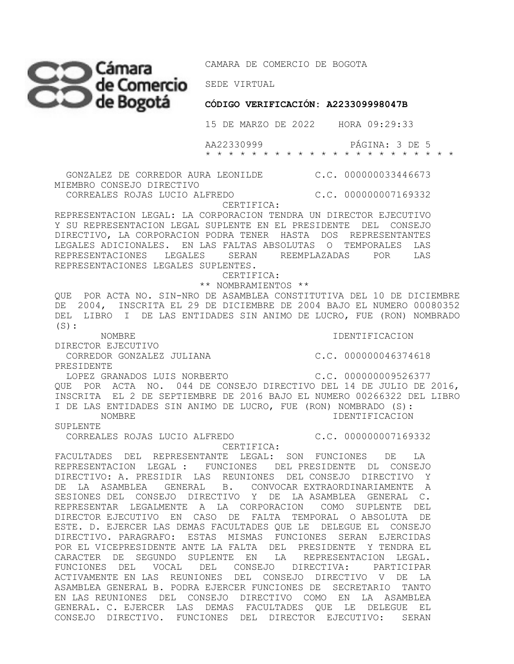CAMARA DE COMERCIO DE BOGOTA

**CÓDIGO VERIFICACIÓN: A223309998047B** 

15 DE MARZO DE 2022 HORA 09:29:33

 AA22330999 PÁGINA: 3 DE 5 \* \* \* \* \* \* \* \* \* \* \* \* \* \* \* \* \* \* \* \* \* \*

 GONZALEZ DE CORREDOR AURA LEONILDE C.C. 000000033446673 MIEMBRO CONSEJO DIRECTIVO CORREALES ROJAS LUCIO ALFREDO C.C. 000000007169332

CERTIFICA:

REPRESENTACION LEGAL: LA CORPORACION TENDRA UN DIRECTOR EJECUTIVO Y SU REPRESENTACION LEGAL SUPLENTE EN EL PRESIDENTE DEL CONSEJO DIRECTIVO, LA CORPORACION PODRA TENER HASTA DOS REPRESENTANTES LEGALES ADICIONALES. EN LAS FALTAS ABSOLUTAS O TEMPORALES LAS REPRESENTACIONES LEGALES SERAN REEMPLAZADAS POR LAS REPRESENTACIONES LEGALES SUPLENTES.

CERTIFICA:

 \*\* NOMBRAMIENTOS \*\* QUE POR ACTA NO. SIN-NRO DE ASAMBLEA CONSTITUTIVA DEL 10 DE DICIEMBRE DE 2004, INSCRITA EL 29 DE DICIEMBRE DE 2004 BAJO EL NUMERO 00080352 DEL LIBRO I DE LAS ENTIDADES SIN ANIMO DE LUCRO, FUE (RON) NOMBRADO  $(S):$ 

NOMBRE IDENTIFICACION

DIRECTOR EJECUTIVO CORREDOR GONZALEZ JULIANA C.C. 000000046374618

PRESIDENTE

LOPEZ GRANADOS LUIS NORBERTO C.C. 000000009526377 QUE POR ACTA NO. 044 DE CONSEJO DIRECTIVO DEL 14 DE JULIO DE 2016, INSCRITA EL 2 DE SEPTIEMBRE DE 2016 BAJO EL NUMERO 00266322 DEL LIBRO I DE LAS ENTIDADES SIN ANIMO DE LUCRO, FUE (RON) NOMBRADO (S): NOMBRE IDENTIFICACION

SUPLENTE

CORREALES ROJAS LUCIO ALFREDO C.C. 000000007169332

CERTIFICA:

FACULTADES DEL REPRESENTANTE LEGAL: SON FUNCIONES DE LA REPRESENTACION LEGAL : FUNCIONES DEL PRESIDENTE DL CONSEJO DIRECTIVO: A. PRESIDIR LAS REUNIONES DEL CONSEJO DIRECTIVO Y DE LA ASAMBLEA GENERAL B. CONVOCAR EXTRAORDINARIAMENTE A SESIONES DEL CONSEJO DIRECTIVO Y DE LA ASAMBLEA GENERAL C. REPRESENTAR LEGALMENTE A LA CORPORACION COMO SUPLENTE DEL DIRECTOR EJECUTIVO EN CASO DE FALTA TEMPORAL O ABSOLUTA DE ESTE. D. EJERCER LAS DEMAS FACULTADES QUE LE DELEGUE EL CONSEJO DIRECTIVO. PARAGRAFO: ESTAS MISMAS FUNCIONES SERAN EJERCIDAS POR EL VICEPRESIDENTE ANTE LA FALTA DEL PRESIDENTE Y TENDRA EL CARACTER DE SEGUNDO SUPLENTE EN LA REPRESENTACION LEGAL. FUNCIONES DEL VOCAL DEL CONSEJO DIRECTIVA: PARTICIPAR ACTIVAMENTE EN LAS REUNIONES DEL CONSEJO DIRECTIVO V DE LA ASAMBLEA GENERAL B. PODRA EJERCER FUNCIONES DE SECRETARIO TANTO EN LAS REUNIONES DEL CONSEJO DIRECTIVO COMO EN LA ASAMBLEA GENERAL. C. EJERCER LAS DEMAS FACULTADES QUE LE DELEGUE EL CONSEJO DIRECTIVO. FUNCIONES DEL DIRECTOR EJECUTIVO: SERAN

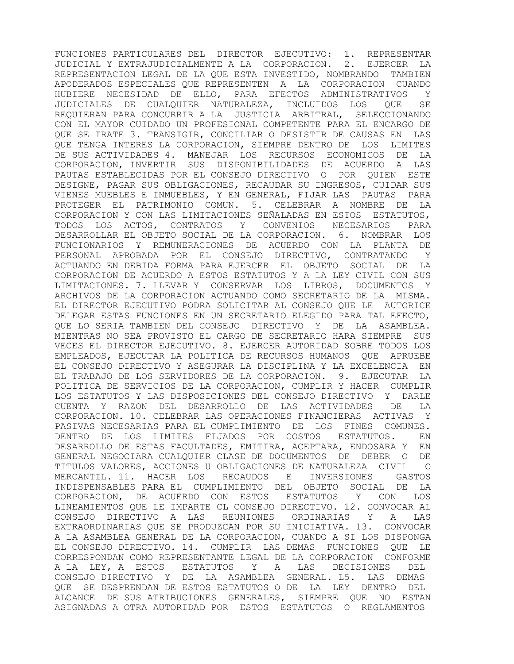FUNCIONES PARTICULARES DEL DIRECTOR EJECUTIVO: 1. REPRESENTAR JUDICIAL Y EXTRAJUDICIALMENTE A LA CORPORACION. 2. EJERCER LA REPRESENTACION LEGAL DE LA QUE ESTA INVESTIDO, NOMBRANDO TAMBIEN APODERADOS ESPECIALES QUE REPRESENTEN A LA CORPORACION CUANDO HUBIERE NECESIDAD DE ELLO, PARA EFECTOS ADMINISTRATIVOS Y JUDICIALES DE CUALQUIER NATURALEZA, INCLUIDOS LOS QUE SE REQUIERAN PARA CONCURRIR A LA JUSTICIA ARBITRAL, SELECCIONANDO CON EL MAYOR CUIDADO UN PROFESIONAL COMPETENTE PARA EL ENCARGO DE QUE SE TRATE 3. TRANSIGIR, CONCILIAR O DESISTIR DE CAUSAS EN LAS QUE TENGA INTERES LA CORPORACION, SIEMPRE DENTRO DE LOS LIMITES DE SUS ACTIVIDADES 4. MANEJAR LOS RECURSOS ECONOMICOS DE LA CORPORACION, INVERTIR SUS DISPONIBILIDADES DE ACUERDO A LAS PAUTAS ESTABLECIDAS POR EL CONSEJO DIRECTIVO O POR QUIEN ESTE DESIGNE, PAGAR SUS OBLIGACIONES, RECAUDAR SU INGRESOS, CUIDAR SUS VIENES MUEBLES E INMUEBLES, Y EN GENERAL, FIJAR LAS PAUTAS PARA PROTEGER EL PATRIMONIO COMUN. 5. CELEBRAR A NOMBRE DE LA CORPORACION Y CON LAS LIMITACIONES SEÑALADAS EN ESTOS ESTATUTOS, TODOS LOS ACTOS, CONTRATOS Y CONVENIOS NECESARIOS PARA DESARROLLAR EL OBJETO SOCIAL DE LA CORPORACION. 6. NOMBRAR LOS FUNCIONARIOS Y REMUNERACIONES DE ACUERDO CON LA PLANTA DE PERSONAL APROBADA POR EL CONSEJO DIRECTIVO, CONTRATANDO Y ACTUANDO EN DEBIDA FORMA PARA EJERCER EL OBJETO SOCIAL DE LA CORPORACION DE ACUERDO A ESTOS ESTATUTOS Y A LA LEY CIVIL CON SUS LIMITACIONES. 7. LLEVAR Y CONSERVAR LOS LIBROS, DOCUMENTOS Y ARCHIVOS DE LA CORPORACION ACTUANDO COMO SECRETARIO DE LA MISMA. EL DIRECTOR EJECUTIVO PODRA SOLICITAR AL CONSEJO QUE LE AUTORICE DELEGAR ESTAS FUNCIONES EN UN SECRETARIO ELEGIDO PARA TAL EFECTO, QUE LO SERIA TAMBIEN DEL CONSEJO DIRECTIVO Y DE LA ASAMBLEA. MIENTRAS NO SEA PROVISTO EL CARGO DE SECRETARIO HARA SIEMPRE SUS VECES EL DIRECTOR EJECUTIVO. 8. EJERCER AUTORIDAD SOBRE TODOS LOS EMPLEADOS, EJECUTAR LA POLITICA DE RECURSOS HUMANOS QUE APRUEBE EL CONSEJO DIRECTIVO Y ASEGURAR LA DISCIPLINA Y LA EXCELENCIA EN EL TRABAJO DE LOS SERVIDORES DE LA CORPORACION. 9. EJECUTAR LA POLITICA DE SERVICIOS DE LA CORPORACION, CUMPLIR Y HACER CUMPLIR LOS ESTATUTOS Y LAS DISPOSICIONES DEL CONSEJO DIRECTIVO Y DARLE CUENTA Y RAZON DEL DESARROLLO DE LAS ACTIVIDADES DE LA CORPORACION. 10. CELEBRAR LAS OPERACIONES FINANCIERAS ACTIVAS Y PASIVAS NECESARIAS PARA EL CUMPLIMIENTO DE LOS FINES COMUNES. DENTRO DE LOS LIMITES FIJADOS POR COSTOS ESTATUTOS. EN DESARROLLO DE ESTAS FACULTADES, EMITIRA, ACEPTARA, ENDOSARA Y EN GENERAL NEGOCIARA CUALQUIER CLASE DE DOCUMENTOS DE DEBER O DE TITULOS VALORES, ACCIONES U OBLIGACIONES DE NATURALEZA CIVIL O MERCANTIL. 11. HACER LOS RECAUDOS E INVERSIONES GASTOS INDISPENSABLES PARA EL CUMPLIMIENTO DEL OBJETO SOCIAL DE LA CORPORACION, DE ACUERDO CON ESTOS ESTATUTOS Y CON LOS LINEAMIENTOS QUE LE IMPARTE CL CONSEJO DIRECTIVO. 12. CONVOCAR AL CONSEJO DIRECTIVO A LAS REUNIONES ORDINARIAS Y A LAS EXTRAORDINARIAS QUE SE PRODUZCAN POR SU INICIATIVA. 13. CONVOCAR A LA ASAMBLEA GENERAL DE LA CORPORACION, CUANDO A SI LOS DISPONGA EL CONSEJO DIRECTIVO. 14. CUMPLIR LAS DEMAS FUNCIONES QUE LE CORRESPONDAN COMO REPRESENTANTE LEGAL DE LA CORPORACION CONFORME A LA LEY, A ESTOS ESTATUTOS Y A LAS DECISIONES DEL CONSEJO DIRECTIVO Y DE LA ASAMBLEA GENERAL. L5. LAS DEMAS QUE SE DESPRENDAN DE ESTOS ESTATUTOS O DE LA LEY DENTRO DEL ALCANCE DE SUS ATRIBUCIONES GENERALES, SIEMPRE QUE NO ESTAN ASIGNADAS A OTRA AUTORIDAD POR ESTOS ESTATUTOS O REGLAMENTOS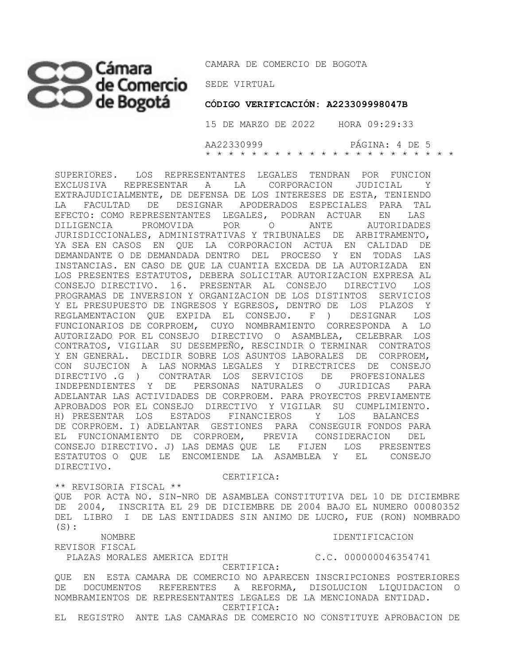## SEDE VIRTUAL

CAMARA DE COMERCIO DE BOGOTA

 **CÓDIGO VERIFICACIÓN: A223309998047B**

 15 DE MARZO DE 2022 HORA 09:29:33 AA22330999 PÁGINA: 4 DE 5 \* \* \* \* \* \* \* \* \* \* \* \* \* \* \* \* \* \* \* \* \* \*

SUPERIORES. LOS REPRESENTANTES LEGALES TENDRAN POR FUNCION EXCLUSIVA REPRESENTAR A LA CORPORACION JUDICIAL Y EXTRAJUDICIALMENTE, DE DEFENSA DE LOS INTERESES DE ESTA, TENIENDO LA FACULTAD DE DESIGNAR APODERADOS ESPECIALES PARA TAL EFECTO: COMO REPRESENTANTES LEGALES, PODRAN ACTUAR EN LAS DILIGENCIA PROMOVIDA POR O ANTE AUTORIDADES JURISDICCIONALES, ADMINISTRATIVAS Y TRIBUNALES DE ARBITRAMENTO, YA SEA EN CASOS EN QUE LA CORPORACION ACTUA EN CALIDAD DE DEMANDANTE O DE DEMANDADA DENTRO DEL PROCESO Y EN TODAS LAS INSTANCIAS. EN CASO DE QUE LA CUANTIA EXCEDA DE LA AUTORIZADA EN LOS PRESENTES ESTATUTOS, DEBERA SOLICITAR AUTORIZACION EXPRESA AL CONSEJO DIRECTIVO. 16. PRESENTAR AL CONSEJO DIRECTIVO LOS PROGRAMAS DE INVERSION Y ORGANIZACION DE LOS DISTINTOS SERVICIOS Y EL PRESUPUESTO DE INGRESOS Y EGRESOS, DENTRO DE LOS PLAZOS Y REGLAMENTACION QUE EXPIDA EL CONSEJO. F ) DESIGNAR LOS FUNCIONARIOS DE CORPROEM, CUYO NOMBRAMIENTO CORRESPONDA A LO AUTORIZADO POR EL CONSEJO DIRECTIVO O ASAMBLEA, CELEBRAR LOS CONTRATOS, VIGILAR SU DESEMPEÑO, RESCINDIR O TERMINAR CONTRATOS Y EN GENERAL. DECIDIR SOBRE LOS ASUNTOS LABORALES DE CORPROEM, CON SUJECION A LAS NORMAS LEGALES Y DIRECTRICES DE CONSEJO DIRECTIVO .G ) CONTRATAR LOS SERVICIOS DE PROFESIONALES INDEPENDIENTES Y DE PERSONAS NATURALES O JURIDICAS PARA ADELANTAR LAS ACTIVIDADES DE CORPROEM. PARA PROYECTOS PREVIAMENTE APROBADOS POR EL CONSEJO DIRECTIVO Y VIGILAR SU CUMPLIMIENTO. H) PRESENTAR LOS ESTADOS FINANCIEROS Y LOS BALANCES DE CORPROEM. I) ADELANTAR GESTIONES PARA CONSEGUIR FONDOS PARA EL FUNCIONAMIENTO DE CORPROEM, PREVIA CONSIDERACION DEL CONSEJO DIRECTIVO. J) LAS DEMAS QUE LE FIJEN LOS PRESENTES ESTATUTOS O QUE LE ENCOMIENDE LA ASAMBLEA Y EL CONSEJO DIRECTIVO.

CERTIFICA:

\*\* REVISORIA FISCAL \*\*

QUE POR ACTA NO. SIN-NRO DE ASAMBLEA CONSTITUTIVA DEL 10 DE DICIEMBRE DE 2004, INSCRITA EL 29 DE DICIEMBRE DE 2004 BAJO EL NUMERO 00080352 DEL LIBRO I DE LAS ENTIDADES SIN ANIMO DE LUCRO, FUE (RON) NOMBRADO  $(S):$ 

NOMBRE IDENTIFICACION

REVISOR FISCAL

PLAZAS MORALES AMERICA EDITH C.C. 000000046354741

 CERTIFICA: QUE EN ESTA CAMARA DE COMERCIO NO APARECEN INSCRIPCIONES POSTERIORES DE DOCUMENTOS REFERENTES A REFORMA, DISOLUCION LIQUIDACION O NOMBRAMIENTOS DE REPRESENTANTES LEGALES DE LA MENCIONADA ENTIDAD. CERTIFICA:

EL REGISTRO ANTE LAS CAMARAS DE COMERCIO NO CONSTITUYE APROBACION DE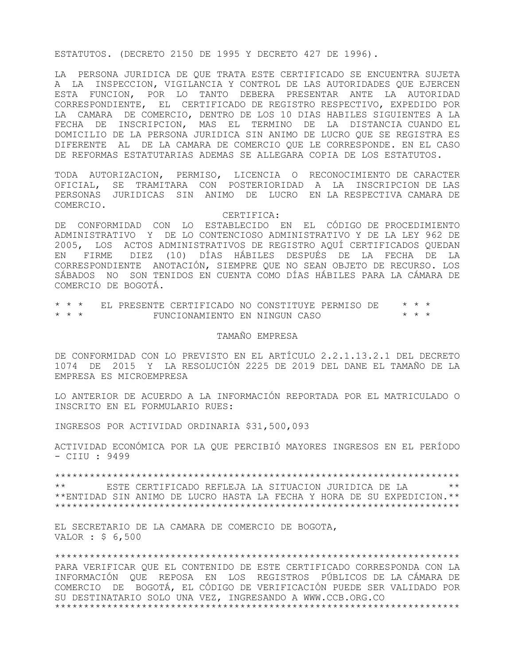## ESTATUTOS. (DECRETO 2150 DE 1995 Y DECRETO 427 DE 1996).

LA PERSONA JURIDICA DE QUE TRATA ESTE CERTIFICADO SE ENCUENTRA SUJETA A LA INSPECCION, VIGILANCIA Y CONTROL DE LAS AUTORIDADES QUE EJERCEN ESTA FUNCION, POR LO TANTO DEBERA PRESENTAR ANTE LA AUTORIDAD CORRESPONDIENTE, EL CERTIFICADO DE REGISTRO RESPECTIVO, EXPEDIDO POR LA CAMARA DE COMERCIO, DENTRO DE LOS 10 DIAS HABILES SIGUIENTES A LA FECHA DE INSCRIPCION, MAS EL TERMINO DE LA DISTANCIA CUANDO EL DOMICILIO DE LA PERSONA JURIDICA SIN ANIMO DE LUCRO QUE SE REGISTRA ES DIFERENTE AL DE LA CAMARA DE COMERCIO QUE LE CORRESPONDE. EN EL CASO DE REFORMAS ESTATUTARIAS ADEMAS SE ALLEGARA COPIA DE LOS ESTATUTOS.

TODA AUTORIZACION, PERMISO, LICENCIA O RECONOCIMIENTO DE CARACTER OFICIAL, SE TRAMITARA CON POSTERIORIDAD A LA INSCRIPCION DE LAS PERSONAS JURIDICAS SIN ANIMO DE LUCRO EN LA RESPECTIVA CAMARA DE COMERCIO.

CERTIFICA:

DE CONFORMIDAD CON LO ESTABLECIDO EN EL CÓDIGO DE PROCEDIMIENTO ADMINISTRATIVO Y DE LO CONTENCIOSO ADMINISTRATIVO Y DE LA LEY 962 DE 2005, LOS ACTOS ADMINISTRATIVOS DE REGISTRO AQUÍ CERTIFICADOS QUEDAN EN FIRME DIEZ (10) DÍAS HÁBILES DESPUÉS DE LA FECHA DE LA CORRESPONDIENTE ANOTACIÓN, SIEMPRE QUE NO SEAN OBJETO DE RECURSO. LOS SÁBADOS NO SON TENIDOS EN CUENTA COMO DÍAS HÁBILES PARA LA CÁMARA DE COMERCIO DE BOGOTÁ.

\* \* \* EL PRESENTE CERTIFICADO NO CONSTITUYE PERMISO DE \* \* \*  $FUNCIONAMIENTO EN NINGUN CASO$ 

## TAMAÑO EMPRESA

DE CONFORMIDAD CON LO PREVISTO EN EL ARTÍCULO 2.2.1.13.2.1 DEL DECRETO 1074 DE 2015 Y LA RESOLUCIÓN 2225 DE 2019 DEL DANE EL TAMAÑO DE LA EMPRESA ES MICROEMPRESA

LO ANTERIOR DE ACUERDO A LA INFORMACIÓN REPORTADA POR EL MATRICULADO O INSCRITO EN EL FORMULARIO RUES:

INGRESOS POR ACTIVIDAD ORDINARIA \$31,500,093

ACTIVIDAD ECONÓMICA POR LA QUE PERCIBIÓ MAYORES INGRESOS EN EL PERÍODO - CIIU : 9499

\*\*\*\*\*\*\*\*\*\*\*\*\*\*\*\*\*\*\*\*\*\*\*\*\*\*\*\*\*\*\*\*\*\*\*\*\*\*\*\*\*\*\*\*\*\*\*\*\*\*\*\*\*\*\*\*\*\*\*\*\*\*\*\*\*\*\*\*\*\* \*\* ESTE CERTIFICADO REFLEJA LA SITUACION JURIDICA DE LA \*\* \*\*ENTIDAD SIN ANIMO DE LUCRO HASTA LA FECHA Y HORA DE SU EXPEDICION.\*\* \*\*\*\*\*\*\*\*\*\*\*\*\*\*\*\*\*\*\*\*\*\*\*\*\*\*\*\*\*\*\*\*\*\*\*\*\*\*\*\*\*\*\*\*\*\*\*\*\*\*\*\*\*\*\*\*\*\*\*\*\*\*\*\*\*\*\*\*\*\*

EL SECRETARIO DE LA CAMARA DE COMERCIO DE BOGOTA, VALOR : \$ 6,500

\*\*\*\*\*\*\*\*\*\*\*\*\*\*\*\*\*\*\*\*\*\*\*\*\*\*\*\*\*\*\*\*\*\*\*\*\*\*\*\*\*\*\*\*\*\*\*\*\*\*\*\*\*\*\*\*\*\*\*\*\*\*\*\*\*\*\*\*\*\*

PARA VERIFICAR QUE EL CONTENIDO DE ESTE CERTIFICADO CORRESPONDA CON LA INFORMACIÓN QUE REPOSA EN LOS REGISTROS PÚBLICOS DE LA CÁMARA DE COMERCIO DE BOGOTÁ, EL CÓDIGO DE VERIFICACIÓN PUEDE SER VALIDADO POR SU DESTINATARIO SOLO UNA VEZ, INGRESANDO A WWW.CCB.ORG.CO \*\*\*\*\*\*\*\*\*\*\*\*\*\*\*\*\*\*\*\*\*\*\*\*\*\*\*\*\*\*\*\*\*\*\*\*\*\*\*\*\*\*\*\*\*\*\*\*\*\*\*\*\*\*\*\*\*\*\*\*\*\*\*\*\*\*\*\*\*\*